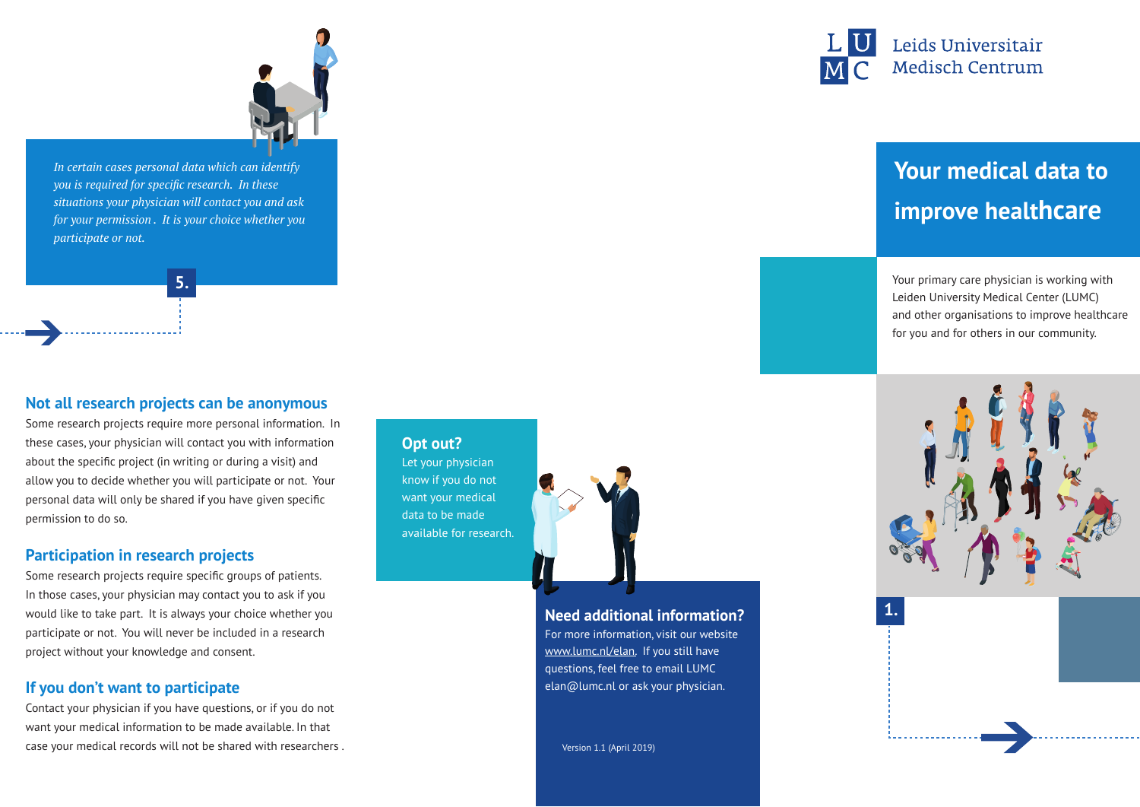

*In certain cases personal data which can identify you is required for specific research. In these situations your physician will contact you and ask for your permission . It is your choice whether you participate or not.* 

**5.**

#### **Not all research projects can be anonymous**

Some research projects require more personal information. In these cases, your physician will contact you with information about the specific project (in writing or during a visit) and allow you to decide whether you will participate or not. Your personal data will only be shared if you have given specific permission to do so.

#### **Participation in research projects**

Some research projects require specific groups of patients. In those cases, your physician may contact you to ask if you would like to take part. It is always your choice whether you participate or not. You will never be included in a research project without your knowledge and consent.

#### **If you don't want to participate**

Contact your physician if you have questions, or if you do not want your medical information to be made available. In that case your medical records will not be shared with researchers .

## **Opt out?**

Let your physician know if you do not want your medical data to be made available for research.



#### **Need additional information?**

For more information, visit our website www.lumc.nl/elan. If you still have questions, feel free to email LUMC elan@lumc.nl or ask your physician.

Version 1.1 (April 2019)



# **Your medical data to improve healthcare**

Your primary care physician is working with Leiden University Medical Center (LUMC) and other organisations to improve healthcare for you and for others in our community.